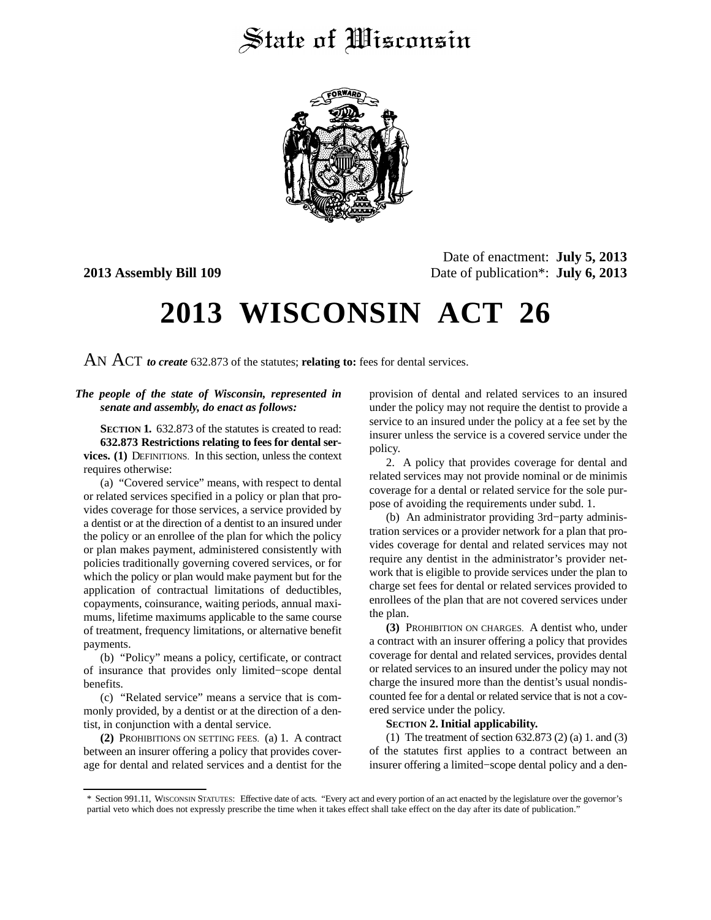## State of Wisconsin



Date of enactment: **July 5, 2013 2013 Assembly Bill 109** Date of publication\*: **July 6, 2013**

# **2013 WISCONSIN ACT 26**

AN ACT *to create* 632.873 of the statutes; **relating to:** fees for dental services.

#### *The people of the state of Wisconsin, represented in senate and assembly, do enact as follows:*

**SECTION 1.** 632.873 of the statutes is created to read: **632.873 Restrictions relating to fees for dental services. (1)** DEFINITIONS. In this section, unless the context requires otherwise:

(a) "Covered service" means, with respect to dental or related services specified in a policy or plan that provides coverage for those services, a service provided by a dentist or at the direction of a dentist to an insured under the policy or an enrollee of the plan for which the policy or plan makes payment, administered consistently with policies traditionally governing covered services, or for which the policy or plan would make payment but for the application of contractual limitations of deductibles, copayments, coinsurance, waiting periods, annual maximums, lifetime maximums applicable to the same course of treatment, frequency limitations, or alternative benefit payments.

(b) "Policy" means a policy, certificate, or contract of insurance that provides only limited−scope dental benefits.

(c) "Related service" means a service that is commonly provided, by a dentist or at the direction of a dentist, in conjunction with a dental service.

**(2)** PROHIBITIONS ON SETTING FEES. (a) 1. A contract between an insurer offering a policy that provides coverage for dental and related services and a dentist for the provision of dental and related services to an insured under the policy may not require the dentist to provide a service to an insured under the policy at a fee set by the insurer unless the service is a covered service under the policy.

2. A policy that provides coverage for dental and related services may not provide nominal or de minimis coverage for a dental or related service for the sole purpose of avoiding the requirements under subd. 1.

(b) An administrator providing 3rd−party administration services or a provider network for a plan that provides coverage for dental and related services may not require any dentist in the administrator's provider network that is eligible to provide services under the plan to charge set fees for dental or related services provided to enrollees of the plan that are not covered services under the plan.

**(3)** PROHIBITION ON CHARGES. A dentist who, under a contract with an insurer offering a policy that provides coverage for dental and related services, provides dental or related services to an insured under the policy may not charge the insured more than the dentist's usual nondiscounted fee for a dental or related service that is not a covered service under the policy.

#### **SECTION** 2. Initial applicability.

(1) The treatment of section 632.873 (2) (a) 1. and (3) of the statutes first applies to a contract between an insurer offering a limited−scope dental policy and a den-

<sup>\*</sup> Section 991.11, WISCONSIN STATUTES: Effective date of acts. "Every act and every portion of an act enacted by the legislature over the governor's partial veto which does not expressly prescribe the time when it takes effect shall take effect on the day after its date of publication."